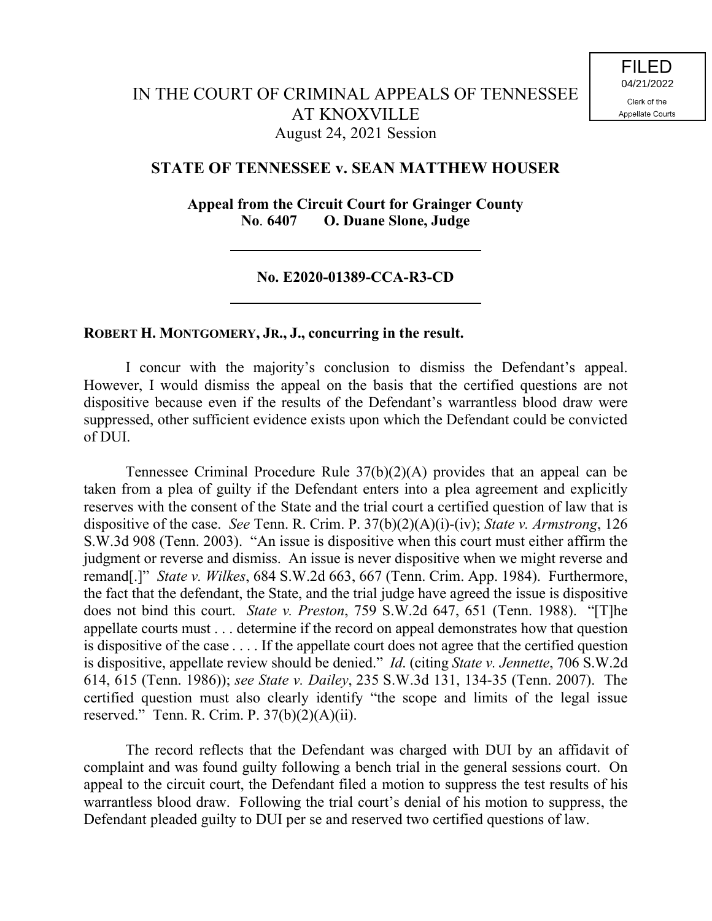## **STATE OF TENNESSEE v. SEAN MATTHEW HOUSER**

**Appeal from the Circuit Court for Grainger County No**. **6407 O. Duane Slone, Judge**

## **No. E2020-01389-CCA-R3-CD**

## **ROBERT H. MONTGOMERY, JR., J., concurring in the result.**

I concur with the majority's conclusion to dismiss the Defendant's appeal. However, I would dismiss the appeal on the basis that the certified questions are not dispositive because even if the results of the Defendant's warrantless blood draw were suppressed, other sufficient evidence exists upon which the Defendant could be convicted of DUI.

Tennessee Criminal Procedure Rule 37(b)(2)(A) provides that an appeal can be taken from a plea of guilty if the Defendant enters into a plea agreement and explicitly reserves with the consent of the State and the trial court a certified question of law that is dispositive of the case. *See* Tenn. R. Crim. P. 37(b)(2)(A)(i)-(iv); *State v. Armstrong*, 126 S.W.3d 908 (Tenn. 2003). "An issue is dispositive when this court must either affirm the judgment or reverse and dismiss. An issue is never dispositive when we might reverse and remand[.]" *State v. Wilkes*, 684 S.W.2d 663, 667 (Tenn. Crim. App. 1984). Furthermore, the fact that the defendant, the State, and the trial judge have agreed the issue is dispositive does not bind this court. *State v. Preston*, 759 S.W.2d 647, 651 (Tenn. 1988). "[T]he appellate courts must . . . determine if the record on appeal demonstrates how that question is dispositive of the case . . . . If the appellate court does not agree that the certified question is dispositive, appellate review should be denied." *Id*. (citing *State v. Jennette*, 706 S.W.2d 614, 615 (Tenn. 1986)); *see State v. Dailey*, 235 S.W.3d 131, 134-35 (Tenn. 2007). The certified question must also clearly identify "the scope and limits of the legal issue reserved." Tenn. R. Crim. P.  $37(b)(2)(A)(ii)$ .

The record reflects that the Defendant was charged with DUI by an affidavit of complaint and was found guilty following a bench trial in the general sessions court. On appeal to the circuit court, the Defendant filed a motion to suppress the test results of his warrantless blood draw. Following the trial court's denial of his motion to suppress, the Defendant pleaded guilty to DUI per se and reserved two certified questions of law.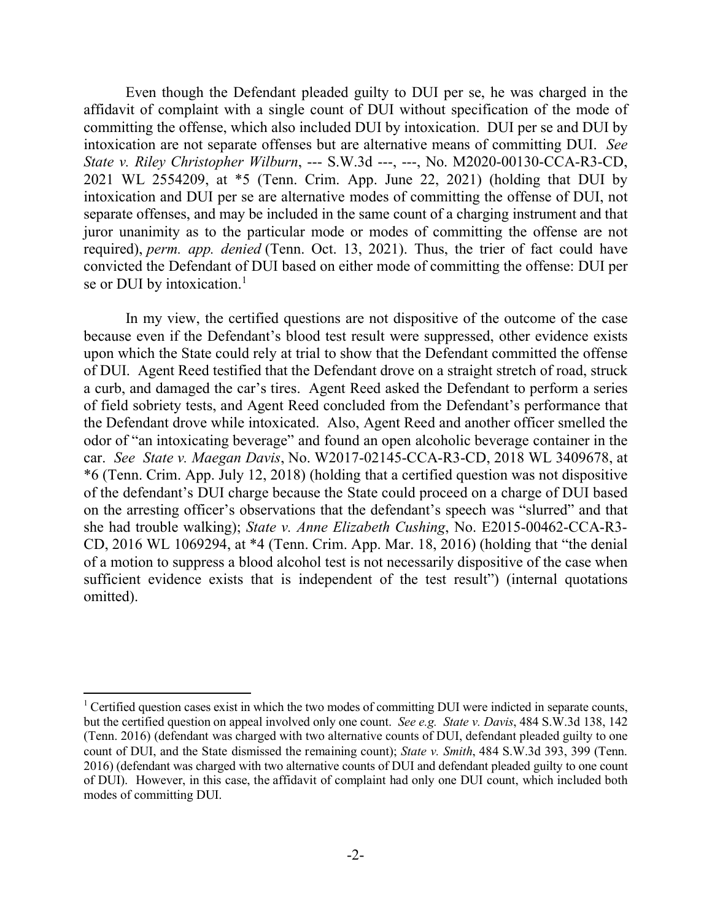Even though the Defendant pleaded guilty to DUI per se, he was charged in the affidavit of complaint with a single count of DUI without specification of the mode of committing the offense, which also included DUI by intoxication. DUI per se and DUI by intoxication are not separate offenses but are alternative means of committing DUI. *See State v. Riley Christopher Wilburn*, --- S.W.3d ---, ---, No. M2020-00130-CCA-R3-CD, 2021 WL 2554209, at \*5 (Tenn. Crim. App. June 22, 2021) (holding that DUI by intoxication and DUI per se are alternative modes of committing the offense of DUI, not separate offenses, and may be included in the same count of a charging instrument and that juror unanimity as to the particular mode or modes of committing the offense are not required), *perm. app. denied* (Tenn. Oct. 13, 2021). Thus, the trier of fact could have convicted the Defendant of DUI based on either mode of committing the offense: DUI per se or DUI by intoxication.<sup>1</sup>

In my view, the certified questions are not dispositive of the outcome of the case because even if the Defendant's blood test result were suppressed, other evidence exists upon which the State could rely at trial to show that the Defendant committed the offense of DUI. Agent Reed testified that the Defendant drove on a straight stretch of road, struck a curb, and damaged the car's tires. Agent Reed asked the Defendant to perform a series of field sobriety tests, and Agent Reed concluded from the Defendant's performance that the Defendant drove while intoxicated. Also, Agent Reed and another officer smelled the odor of "an intoxicating beverage" and found an open alcoholic beverage container in the car. *See State v. Maegan Davis*, No. W2017-02145-CCA-R3-CD, 2018 WL 3409678, at \*6 (Tenn. Crim. App. July 12, 2018) (holding that a certified question was not dispositive of the defendant's DUI charge because the State could proceed on a charge of DUI based on the arresting officer's observations that the defendant's speech was "slurred" and that she had trouble walking); *State v. Anne Elizabeth Cushing*, No. E2015-00462-CCA-R3- CD, 2016 WL 1069294, at \*4 (Tenn. Crim. App. Mar. 18, 2016) (holding that "the denial of a motion to suppress a blood alcohol test is not necessarily dispositive of the case when sufficient evidence exists that is independent of the test result") (internal quotations omitted).

 $\overline{\phantom{a}}$ 

<sup>&</sup>lt;sup>1</sup> Certified question cases exist in which the two modes of committing DUI were indicted in separate counts, but the certified question on appeal involved only one count. *See e.g. State v. Davis*, 484 S.W.3d 138, 142 (Tenn. 2016) (defendant was charged with two alternative counts of DUI, defendant pleaded guilty to one count of DUI, and the State dismissed the remaining count); *State v. Smith*, 484 S.W.3d 393, 399 (Tenn. 2016) (defendant was charged with two alternative counts of DUI and defendant pleaded guilty to one count of DUI). However, in this case, the affidavit of complaint had only one DUI count, which included both modes of committing DUI.